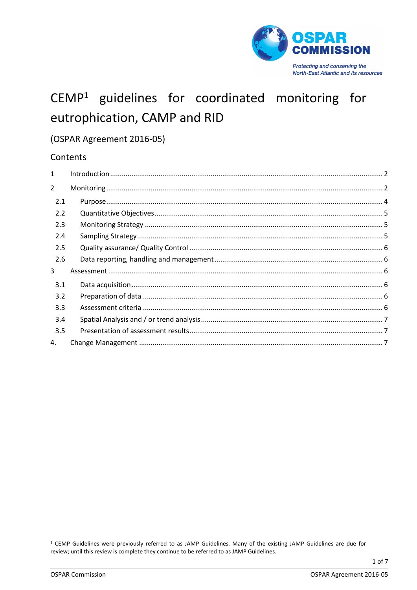

# CEMP<sup>1</sup> guidelines for coordinated monitoring for eutrophication, CAMP and RID

# (OSPAR Agreement 2016-05)

# Contents

<sup>&</sup>lt;sup>1</sup> CEMP Guidelines were previously referred to as JAMP Guidelines. Many of the existing JAMP Guidelines are due for review; until this review is complete they continue to be referred to as JAMP Guidelines.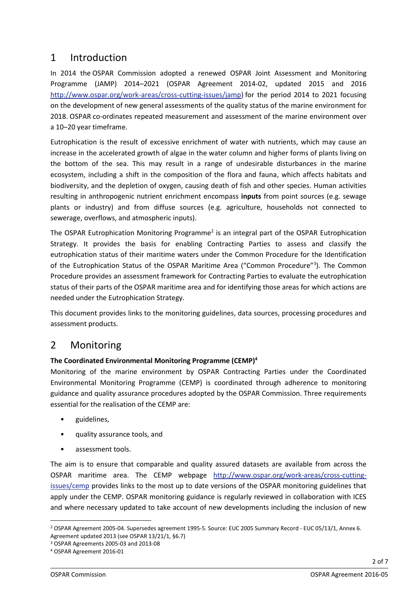# <span id="page-1-0"></span>1 Introduction

In 2014 the OSPAR Commission adopted a renewed OSPAR Joint Assessment and Monitoring Programme (JAMP) 2014–2021 (OSPAR Agreement 2014-02, updated 2015 and 2016 [http://www.ospar.org/work-areas/cross-cutting-issues/jamp\)](http://www.ospar.org/work-areas/cross-cutting-issues/jamp) for the period 2014 to 2021 focusing on the development of new general assessments of the quality status of the marine environment for 2018. OSPAR co-ordinates repeated measurement and assessment of the marine environment over a 10–20 year timeframe.

Eutrophication is the result of excessive enrichment of water with nutrients, which may cause an increase in the accelerated growth of algae in the water column and higher forms of plants living on the bottom of the sea. This may result in a range of undesirable disturbances in the marine ecosystem, including a shift in the composition of the flora and fauna, which affects habitats and biodiversity, and the depletion of oxygen, causing death of fish and other species. Human activities resulting in anthropogenic nutrient enrichment encompass **inputs** from point sources (e.g. sewage plants or industry) and from diffuse sources (e.g. agriculture, households not connected to sewerage, overflows, and atmospheric inputs).

The OSPAR Eutrophication Monitoring Programme<sup>2</sup> is an integral part of the OSPAR Eutrophication Strategy. It provides the basis for enabling Contracting Parties to assess and classify the eutrophication status of their maritime waters under the Common Procedure for the Identification of the Eutrophication Status of the OSPAR Maritime Area ("Common Procedure"<sup>3</sup>). The Common Procedure provides an assessment framework for Contracting Parties to evaluate the eutrophication status of their parts of the OSPAR maritime area and for identifying those areas for which actions are needed under the Eutrophication Strategy.

This document provides links to the monitoring guidelines, data sources, processing procedures and assessment products.

# <span id="page-1-1"></span>2 Monitoring

# **The Coordinated Environmental Monitoring Programme (CEMP)<sup>4</sup>**

Monitoring of the marine environment by OSPAR Contracting Parties under the Coordinated Environmental Monitoring Programme (CEMP) is coordinated through adherence to monitoring guidance and quality assurance procedures adopted by the OSPAR Commission. Three requirements essential for the realisation of the CEMP are:

- guidelines,
- quality assurance tools, and
- assessment tools.

The aim is to ensure that comparable and quality assured datasets are available from across the OSPAR maritime area. The CEMP webpage [http://www.ospar.org/work-areas/cross-cutting](http://www.ospar.org/work-areas/cross-cutting-issues/cemp)[issues/cemp](http://www.ospar.org/work-areas/cross-cutting-issues/cemp) provides links to the most up to date versions of the OSPAR monitoring guidelines that apply under the CEMP. OSPAR monitoring guidance is regularly reviewed in collaboration with ICES and where necessary updated to take account of new developments including the inclusion of new

 $\overline{\phantom{a}}$ 

<sup>2</sup> OSPAR Agreement 2005-04. Supersedes agreement 1995-5. Source: EUC 2005 Summary Record - EUC 05/13/1, Annex 6. Agreement updated 2013 (see OSPAR 13/21/1, §6.7)

<sup>3</sup> OSPAR Agreements 2005-03 and 2013-08

<sup>4</sup> OSPAR Agreement 2016-01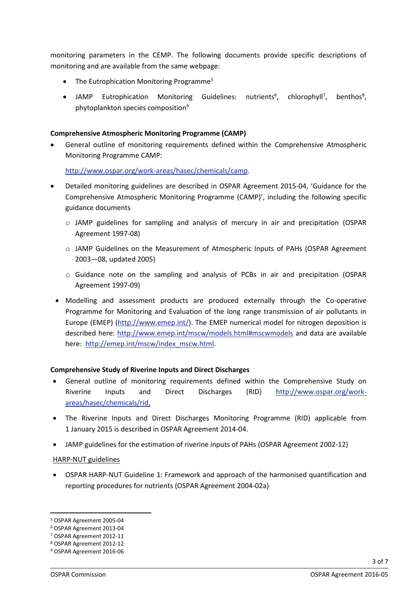monitoring parameters in the CEMP. The following documents provide specific descriptions of monitoring and are available from the same webpage:

- The Eutrophication Monitoring Programme<sup>5</sup>
- JAMP Eutrophication Monitoring Guidelines: nutrients<sup>6</sup>, chlorophyll<sup>7</sup>, benthos<sup>8</sup>, phytoplankton species composition<sup>9</sup>

#### **Comprehensive Atmospheric Monitoring Programme (CAMP)**

 General outline of monitoring requirements defined within the Comprehensive Atmospheric Monitoring Programme CAMP:

[http://www.ospar.org/work-areas/hasec/chemicals/camp.](http://www.ospar.org/work-areas/hasec/chemicals/camp)

- Detailed monitoring guidelines are described in OSPAR Agreement 2015-04, 'Guidance for the Comprehensive Atmospheric Monitoring Programme (CAMP)', including the following specific guidance documents
	- o JAMP guidelines for sampling and analysis of mercury in air and precipitation (OSPAR Agreement 1997-08)
	- o JAMP Guidelines on the Measurement of Atmospheric Inputs of PAHs (OSPAR Agreement 2003—08, updated 2005)
	- o Guidance note on the sampling and analysis of PCBs in air and precipitation (OSPAR Agreement 1997-09)
	- Modelling and assessment products are produced externally through the Co-operative Programme for Monitoring and Evaluation of the long range transmission of air pollutants in Europe (EMEP) [\(http://www.emep.int/\)](http://www.emep.int/). The EMEP numerical model for nitrogen deposition is described here:<http://www.emep.int/mscw/models.html#mscwmodels> and data are available here: [http://emep.int/mscw/index\\_mscw.html.](http://emep.int/mscw/index_mscw.html)

### **Comprehensive Study of Riverine Inputs and Direct Discharges**

- General outline of monitoring requirements defined within the Comprehensive Study on Riverine Inputs and Direct Discharges (RID) [http://www.ospar.org/work](http://www.ospar.org/work-areas/hasec/chemicals/rid)[areas/hasec/chemicals/rid.](http://www.ospar.org/work-areas/hasec/chemicals/rid)
- The Riverine Inputs and Direct Discharges Monitoring Programme (RID) applicable from 1 January 2015 is described in OSPAR Agreement 2014-04.
- JAMP guidelines for the estimation of riverine inputs of PAHs (OSPAR Agreement 2002-12)

### HARP-NUT guidelines

 OSPAR HARP-NUT Guideline 1: Framework and approach of the harmonised quantification and reporting procedures for nutrients (OSPAR Agreement 2004-02a)

1

<sup>5</sup> OSPAR Agreement 2005-04

<sup>6</sup> OSPAR Agreement 2013-04

<sup>7</sup> OSPAR Agreement 2012-11

<sup>8</sup> OSPAR Agreement 2012-12

<sup>9</sup> OSPAR Agreement 2016-06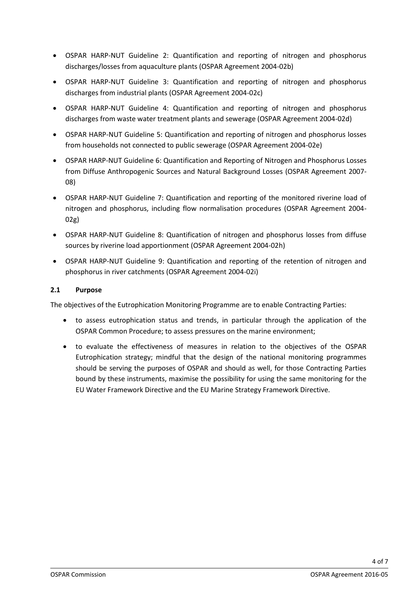- OSPAR HARP-NUT Guideline 2: Quantification and reporting of nitrogen and phosphorus discharges/losses from aquaculture plants (OSPAR Agreement 2004-02b)
- OSPAR HARP-NUT Guideline 3: Quantification and reporting of nitrogen and phosphorus discharges from industrial plants (OSPAR Agreement 2004-02c)
- OSPAR HARP-NUT Guideline 4: Quantification and reporting of nitrogen and phosphorus discharges from waste water treatment plants and sewerage (OSPAR Agreement 2004-02d)
- OSPAR HARP-NUT Guideline 5: Quantification and reporting of nitrogen and phosphorus losses from households not connected to public sewerage (OSPAR Agreement 2004-02e)
- OSPAR HARP-NUT Guideline 6: Quantification and Reporting of Nitrogen and Phosphorus Losses from Diffuse Anthropogenic Sources and Natural Background Losses (OSPAR Agreement 2007- 08)
- OSPAR HARP-NUT Guideline 7: Quantification and reporting of the monitored riverine load of nitrogen and phosphorus, including flow normalisation procedures (OSPAR Agreement 2004- 02g)
- OSPAR HARP-NUT Guideline 8: Quantification of nitrogen and phosphorus losses from diffuse sources by riverine load apportionment (OSPAR Agreement 2004-02h)
- OSPAR HARP-NUT Guideline 9: Quantification and reporting of the retention of nitrogen and phosphorus in river catchments (OSPAR Agreement 2004-02i)

#### <span id="page-3-0"></span>**2.1 Purpose**

The objectives of the Eutrophication Monitoring Programme are to enable Contracting Parties:

- to assess eutrophication status and trends, in particular through the application of the OSPAR Common Procedure; to assess pressures on the marine environment;
- to evaluate the effectiveness of measures in relation to the objectives of the OSPAR Eutrophication strategy; mindful that the design of the national monitoring programmes should be serving the purposes of OSPAR and should as well, for those Contracting Parties bound by these instruments, maximise the possibility for using the same monitoring for the EU Water Framework Directive and the EU Marine Strategy Framework Directive.

4 of 7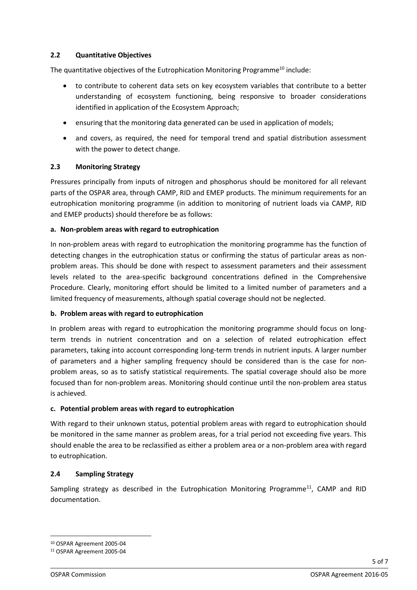### <span id="page-4-0"></span>**2.2 Quantitative Objectives**

The quantitative objectives of the Eutrophication Monitoring Programme<sup>10</sup> include:

- to contribute to coherent data sets on key ecosystem variables that contribute to a better understanding of ecosystem functioning, being responsive to broader considerations identified in application of the Ecosystem Approach;
- ensuring that the monitoring data generated can be used in application of models;
- and covers, as required, the need for temporal trend and spatial distribution assessment with the power to detect change.

#### <span id="page-4-1"></span>**2.3 Monitoring Strategy**

Pressures principally from inputs of nitrogen and phosphorus should be monitored for all relevant parts of the OSPAR area, through CAMP, RID and EMEP products. The minimum requirements for an eutrophication monitoring programme (in addition to monitoring of nutrient loads via CAMP, RID and EMEP products) should therefore be as follows:

#### **a. Non-problem areas with regard to eutrophication**

In non-problem areas with regard to eutrophication the monitoring programme has the function of detecting changes in the eutrophication status or confirming the status of particular areas as nonproblem areas. This should be done with respect to assessment parameters and their assessment levels related to the area-specific background concentrations defined in the Comprehensive Procedure. Clearly, monitoring effort should be limited to a limited number of parameters and a limited frequency of measurements, although spatial coverage should not be neglected.

#### **b. Problem areas with regard to eutrophication**

In problem areas with regard to eutrophication the monitoring programme should focus on longterm trends in nutrient concentration and on a selection of related eutrophication effect parameters, taking into account corresponding long-term trends in nutrient inputs. A larger number of parameters and a higher sampling frequency should be considered than is the case for nonproblem areas, so as to satisfy statistical requirements. The spatial coverage should also be more focused than for non-problem areas. Monitoring should continue until the non-problem area status is achieved.

#### **c. Potential problem areas with regard to eutrophication**

With regard to their unknown status, potential problem areas with regard to eutrophication should be monitored in the same manner as problem areas, for a trial period not exceeding five years. This should enable the area to be reclassified as either a problem area or a non-problem area with regard to eutrophication.

#### <span id="page-4-2"></span>**2.4 Sampling Strategy**

Sampling strategy as described in the Eutrophication Monitoring Programme<sup>11</sup>, CAMP and RID documentation.

**.** 

<sup>10</sup> OSPAR Agreement 2005-04

<sup>11</sup> OSPAR Agreement 2005-04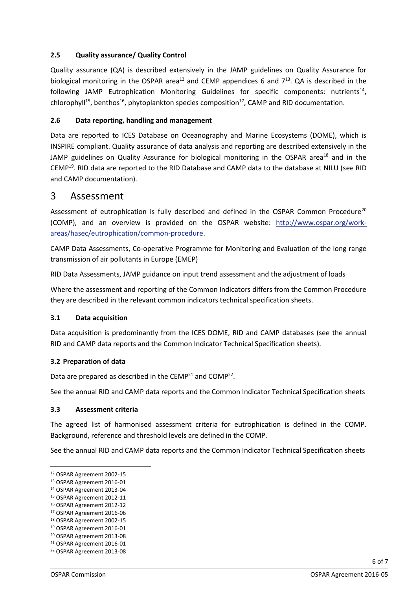### <span id="page-5-0"></span>**2.5 Quality assurance/ Quality Control**

Quality assurance (QA) is described extensively in the JAMP guidelines on Quality Assurance for biological monitoring in the OSPAR area<sup>12</sup> and CEMP appendices 6 and  $7^{13}$ . QA is described in the following JAMP Eutrophication Monitoring Guidelines for specific components: nutrients<sup>14</sup>, chlorophyll<sup>15</sup>, benthos<sup>16</sup>, phytoplankton species composition<sup>17</sup>, CAMP and RID documentation.

#### <span id="page-5-1"></span>**2.6 Data reporting, handling and management**

Data are reported to ICES Database on Oceanography and Marine Ecosystems (DOME), which is INSPIRE compliant. Quality assurance of data analysis and reporting are described extensively in the JAMP guidelines on Quality Assurance for biological monitoring in the OSPAR area<sup>18</sup> and in the CEMP<sup>19</sup>. RID data are reported to the RID Database and CAMP data to the database at NILU (see RID and CAMP documentation).

# <span id="page-5-2"></span>3 Assessment

Assessment of eutrophication is fully described and defined in the OSPAR Common Procedure<sup>20</sup> (COMP), and an overview is provided on the OSPAR website: [http://www.ospar.org/work](http://www.ospar.org/work-areas/hasec/eutrophication/common-procedure)[areas/hasec/eutrophication/common-procedure.](http://www.ospar.org/work-areas/hasec/eutrophication/common-procedure)

CAMP Data Assessments, Co-operative Programme for Monitoring and Evaluation of the long range transmission of air pollutants in Europe (EMEP)

RID Data Assessments, JAMP guidance on input trend assessment and the adjustment of loads

Where the assessment and reporting of the Common Indicators differs from the Common Procedure they are described in the relevant common indicators technical specification sheets.

#### <span id="page-5-3"></span>**3.1 Data acquisition**

Data acquisition is predominantly from the ICES DOME, RID and CAMP databases (see the annual RID and CAMP data reports and the Common Indicator Technical Specification sheets).

#### <span id="page-5-4"></span>**3.2 Preparation of data**

Data are prepared as described in the CEMP<sup>21</sup> and COMP<sup>22</sup>.

See the annual RID and CAMP data reports and the Common Indicator Technical Specification sheets

#### <span id="page-5-5"></span>**3.3 Assessment criteria**

The agreed list of harmonised assessment criteria for eutrophication is defined in the COMP. Background, reference and threshold levels are defined in the COMP.

See the annual RID and CAMP data reports and the Common Indicator Technical Specification sheets

1

6 of 7

<sup>12</sup> OSPAR Agreement 2002-15

<sup>13</sup> OSPAR Agreement 2016-01

<sup>14</sup> OSPAR Agreement 2013-04

<sup>15</sup> OSPAR Agreement 2012-11

<sup>16</sup> OSPAR Agreement 2012-12

<sup>17</sup> OSPAR Agreement 2016-06

<sup>18</sup> OSPAR Agreement 2002-15

<sup>19</sup> OSPAR Agreement 2016-01

<sup>20</sup> OSPAR Agreement 2013-08

<sup>21</sup> OSPAR Agreement 2016-01

<sup>22</sup> OSPAR Agreement 2013-08